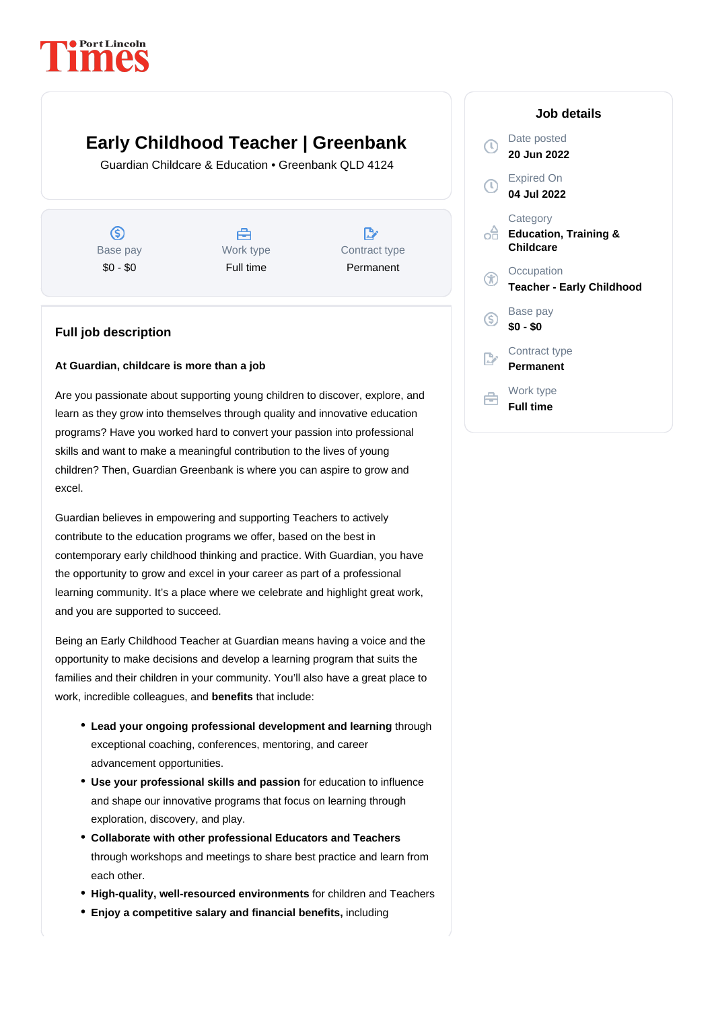# **PortLincoln**

## **Early Childhood Teacher | Greenbank**

Guardian Childcare & Education • Greenbank QLD 4124

 $\circledS$ Base pay \$0 - \$0





#### **Full job description**

#### **At Guardian, childcare is more than a job**

Are you passionate about supporting young children to discover, explore, and learn as they grow into themselves through quality and innovative education programs? Have you worked hard to convert your passion into professional skills and want to make a meaningful contribution to the lives of young children? Then, Guardian Greenbank is where you can aspire to grow and excel.

Guardian believes in empowering and supporting Teachers to actively contribute to the education programs we offer, based on the best in contemporary early childhood thinking and practice. With Guardian, you have the opportunity to grow and excel in your career as part of a professional learning community. It's a place where we celebrate and highlight great work, and you are supported to succeed.

Being an Early Childhood Teacher at Guardian means having a voice and the opportunity to make decisions and develop a learning program that suits the families and their children in your community. You'll also have a great place to work, incredible colleagues, and **benefits** that include:

- Lead your ongoing professional development and learning through exceptional coaching, conferences, mentoring, and career advancement opportunities.
- Use your professional skills and passion for education to influence and shape our innovative programs that focus on learning through exploration, discovery, and play.
- through workshops and meetings to share best practice and learn from each other. **Collaborate with other professional Educators and Teachers**
- **High-quality, well-resourced environments** for children and Teachers
- **Enjoy a competitive salary and financial benefits,** including

### **Job details** Date posted  $\odot$ **20 Jun 2022** Expired On **04 Jul 2022 Category Education, Training & Childcare Occupation Teacher - Early Childhood** Base pay (\$) **\$0 - \$0** Contract type **Permanent** Work type 章 **Full time**